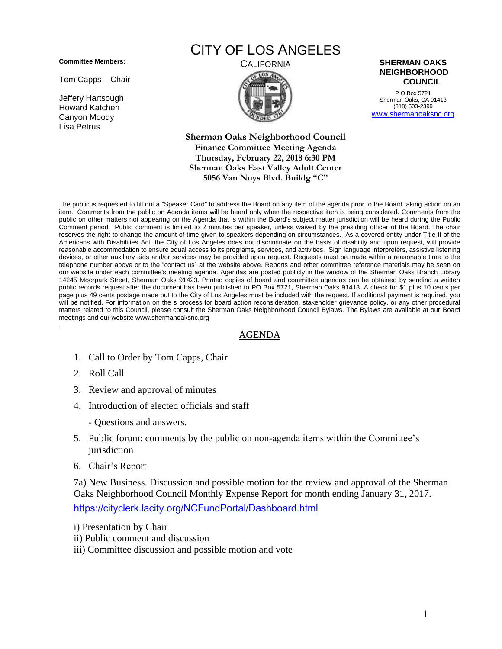**Committee Members:**

Tom Capps – Chair

Jeffery Hartsough Howard Katchen Canyon Moody Lisa Petrus

## CITY OF LOS ANGELES





P O Box 5721 Sherman Oaks, CA 91413 (818) 503-2399 [www.shermanoaksnc.org](http://www.shermanoaksnc.org/)

**Sherman Oaks Neighborhood Council Finance Committee Meeting Agenda Thursday, February 22, 2018 6:30 PM Sherman Oaks East Valley Adult Center 5056 Van Nuys Blvd. Buildg "C"**

The public is requested to fill out a "Speaker Card" to address the Board on any item of the agenda prior to the Board taking action on an item. Comments from the public on Agenda items will be heard only when the respective item is being considered. Comments from the public on other matters not appearing on the Agenda that is within the Board's subject matter jurisdiction will be heard during the Public Comment period. Public comment is limited to 2 minutes per speaker, unless waived by the presiding officer of the Board. The chair reserves the right to change the amount of time given to speakers depending on circumstances. As a covered entity under Title II of the Americans with Disabilities Act, the City of Los Angeles does not discriminate on the basis of disability and upon request, will provide reasonable accommodation to ensure equal access to its programs, services, and activities. Sign language interpreters, assistive listening devices, or other auxiliary aids and/or services may be provided upon request. Requests must be made within a reasonable time to the telephone number above or to the "contact us" at the website above. Reports and other committee reference materials may be seen on our website under each committee's meeting agenda. Agendas are posted publicly in the window of the Sherman Oaks Branch Library 14245 Moorpark Street, Sherman Oaks 91423. Printed copies of board and committee agendas can be obtained by sending a written public records request after the document has been published to PO Box 5721, Sherman Oaks 91413. A check for \$1 plus 10 cents per page plus 49 cents postage made out to the City of Los Angeles must be included with the request. If additional payment is required, you will be notified. For information on the s process for board action reconsideration, stakeholder grievance policy, or any other procedural matters related to this Council, please consult the Sherman Oaks Neighborhood Council Bylaws. The Bylaws are available at our Board meetings and our website www.shermanoaksnc.org .

## AGENDA

- 1. Call to Order by Tom Capps, Chair
- 2. Roll Call
- 3. Review and approval of minutes
- 4. Introduction of elected officials and staff
	- Questions and answers.
- 5. Public forum: comments by the public on non-agenda items within the Committee's jurisdiction
- 6. Chair's Report

7a) New Business. Discussion and possible motion for the review and approval of the Sherman Oaks Neighborhood Council Monthly Expense Report for month ending January 31, 2017.

<https://cityclerk.lacity.org/NCFundPortal/Dashboard.html>

- i) Presentation by Chair
- ii) Public comment and discussion

iii) Committee discussion and possible motion and vote